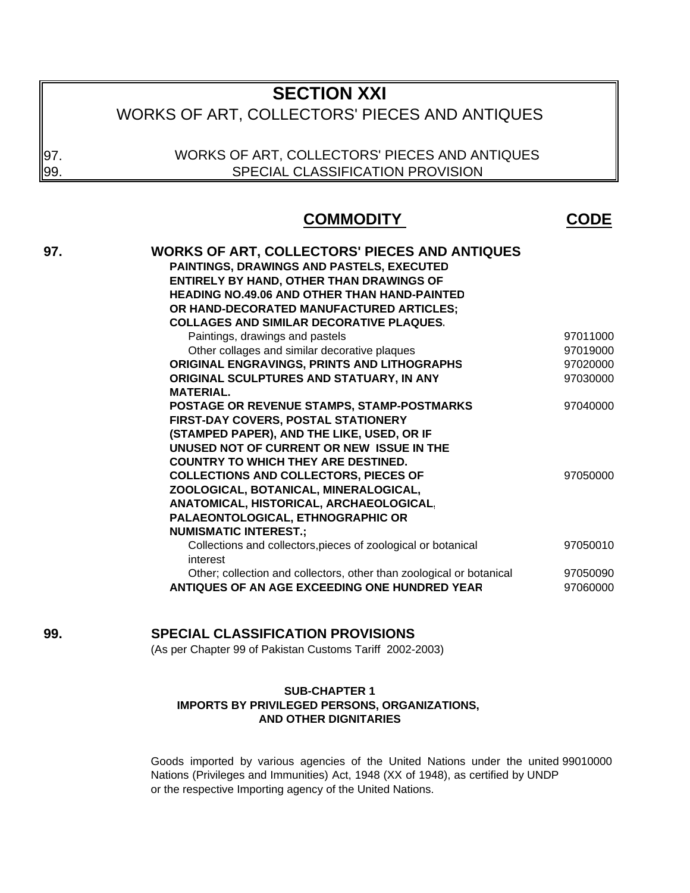# **SECTION XXI**

# WORKS OF ART, COLLECTORS' PIECES AND ANTIQUES

WORKS OF ART, COLLECTORS' PIECES AND ANTIQUES SPECIAL CLASSIFICATION PROVISION

97. 99.

## **COMMODITY CODE**

| 97. | <b>WORKS OF ART, COLLECTORS' PIECES AND ANTIQUES</b>                      |          |
|-----|---------------------------------------------------------------------------|----------|
|     | <b>PAINTINGS, DRAWINGS AND PASTELS, EXECUTED</b>                          |          |
|     | <b>ENTIRELY BY HAND, OTHER THAN DRAWINGS OF</b>                           |          |
|     | <b>HEADING NO.49.06 AND OTHER THAN HAND-PAINTED</b>                       |          |
|     | OR HAND-DECORATED MANUFACTURED ARTICLES;                                  |          |
|     | <b>COLLAGES AND SIMILAR DECORATIVE PLAQUES.</b>                           |          |
|     | Paintings, drawings and pastels                                           | 97011000 |
|     | Other collages and similar decorative plaques                             | 97019000 |
|     | ORIGINAL ENGRAVINGS, PRINTS AND LITHOGRAPHS                               | 97020000 |
|     | ORIGINAL SCULPTURES AND STATUARY, IN ANY                                  | 97030000 |
|     | <b>MATERIAL.</b>                                                          |          |
|     | POSTAGE OR REVENUE STAMPS, STAMP-POSTMARKS                                | 97040000 |
|     | FIRST-DAY COVERS, POSTAL STATIONERY                                       |          |
|     | (STAMPED PAPER), AND THE LIKE, USED, OR IF                                |          |
|     | UNUSED NOT OF CURRENT OR NEW ISSUE IN THE                                 |          |
|     | <b>COUNTRY TO WHICH THEY ARE DESTINED.</b>                                |          |
|     | <b>COLLECTIONS AND COLLECTORS, PIECES OF</b>                              | 97050000 |
|     | ZOOLOGICAL, BOTANICAL, MINERALOGICAL,                                     |          |
|     | ANATOMICAL, HISTORICAL, ARCHAEOLOGICAL.                                   |          |
|     | PALAEONTOLOGICAL, ETHNOGRAPHIC OR                                         |          |
|     | <b>NUMISMATIC INTEREST.;</b>                                              |          |
|     | Collections and collectors, pieces of zoological or botanical<br>interest | 97050010 |
|     | Other; collection and collectors, other than zoological or botanical      | 97050090 |
|     | ANTIQUES OF AN AGE EXCEEDING ONE HUNDRED YEAR                             | 97060000 |

## **99. SPECIAL CLASSIFICATION PROVISIONS**

(As per Chapter 99 of Pakistan Customs Tariff 2002-2003)

#### **SUB-CHAPTER 1 IMPORTS BY PRIVILEGED PERSONS, ORGANIZATIONS, AND OTHER DIGNITARIES**

Goods imported by various agencies of the United Nations under the united 99010000 Nations (Privileges and Immunities) Act, 1948 (XX of 1948), as certified by UNDP or the respective Importing agency of the United Nations.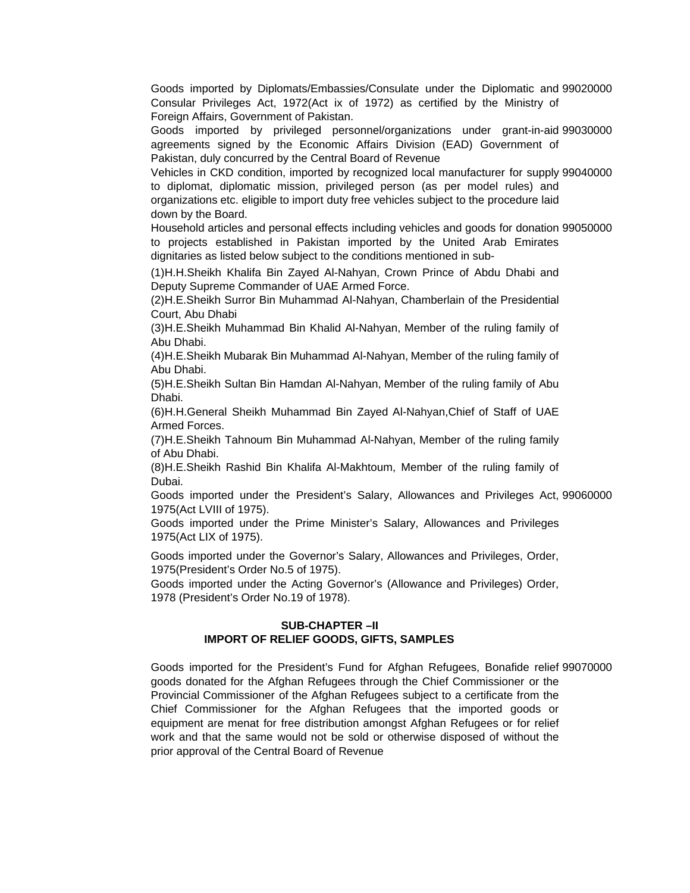Goods imported by Diplomats/Embassies/Consulate under the Diplomatic and 99020000 Consular Privileges Act, 1972(Act ix of 1972) as certified by the Ministry of Foreign Affairs, Government of Pakistan.

Goods imported by privileged personnel/organizations under grant-in-aid 99030000 agreements signed by the Economic Affairs Division (EAD) Government of Pakistan, duly concurred by the Central Board of Revenue

Vehicles in CKD condition, imported by recognized local manufacturer for supply 99040000 to diplomat, diplomatic mission, privileged person (as per model rules) and organizations etc. eligible to import duty free vehicles subject to the procedure laid down by the Board.

Household articles and personal effects including vehicles and goods for donation 99050000 to projects established in Pakistan imported by the United Arab Emirates dignitaries as listed below subject to the conditions mentioned in sub-

(1)H.H.Sheikh Khalifa Bin Zayed Al-Nahyan, Crown Prince of Abdu Dhabi and Deputy Supreme Commander of UAE Armed Force.

(2)H.E.Sheikh Surror Bin Muhammad Al-Nahyan, Chamberlain of the Presidential Court, Abu Dhabi

(3)H.E.Sheikh Muhammad Bin Khalid Al-Nahyan, Member of the ruling family of Abu Dhabi.

(4)H.E.Sheikh Mubarak Bin Muhammad Al-Nahyan, Member of the ruling family of Abu Dhabi.

(5)H.E.Sheikh Sultan Bin Hamdan Al-Nahyan, Member of the ruling family of Abu Dhabi.

(6)H.H.General Sheikh Muhammad Bin Zayed Al-Nahyan,Chief of Staff of UAE Armed Forces.

(7)H.E.Sheikh Tahnoum Bin Muhammad Al-Nahyan, Member of the ruling family of Abu Dhabi.

(8)H.E.Sheikh Rashid Bin Khalifa Al-Makhtoum, Member of the ruling family of Dubai.

Goods imported under the President's Salary, Allowances and Privileges Act, 99060000 1975(Act LVIII of 1975).

Goods imported under the Prime Minister's Salary, Allowances and Privileges 1975(Act LIX of 1975).

Goods imported under the Governor's Salary, Allowances and Privileges, Order, 1975(President's Order No.5 of 1975).

Goods imported under the Acting Governor's (Allowance and Privileges) Order, 1978 (President's Order No.19 of 1978).

#### **SUB-CHAPTER –II IMPORT OF RELIEF GOODS, GIFTS, SAMPLES**

Goods imported for the President's Fund for Afghan Refugees, Bonafide relief 99070000 goods donated for the Afghan Refugees through the Chief Commissioner or the Provincial Commissioner of the Afghan Refugees subject to a certificate from the Chief Commissioner for the Afghan Refugees that the imported goods or equipment are menat for free distribution amongst Afghan Refugees or for relief work and that the same would not be sold or otherwise disposed of without the prior approval of the Central Board of Revenue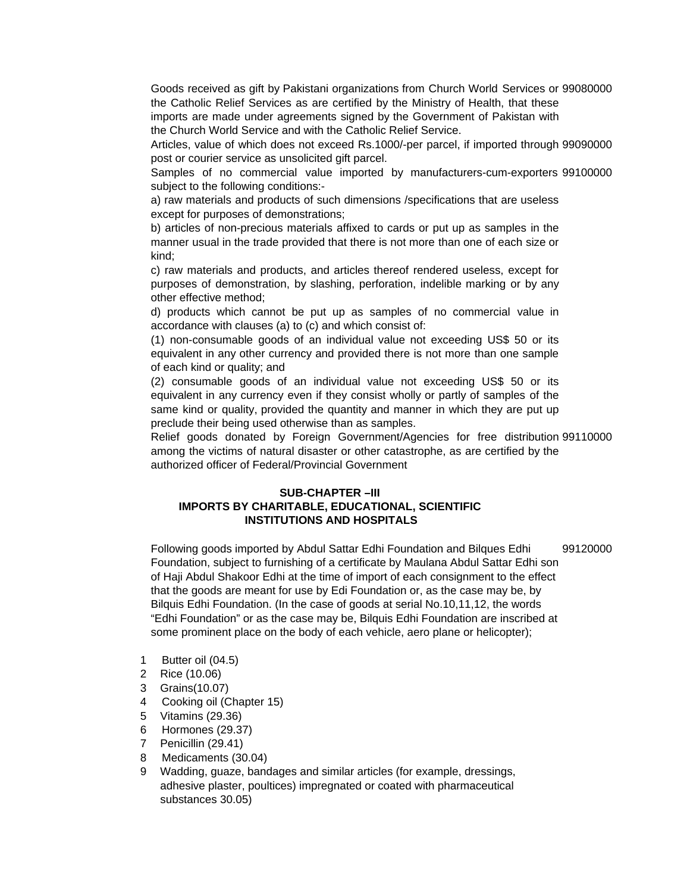Goods received as gift by Pakistani organizations from Church World Services or 99080000 the Catholic Relief Services as are certified by the Ministry of Health, that these imports are made under agreements signed by the Government of Pakistan with the Church World Service and with the Catholic Relief Service.

Articles, value of which does not exceed Rs.1000/-per parcel, if imported through 99090000 post or courier service as unsolicited gift parcel.

Samples of no commercial value imported by manufacturers-cum-exporters 99100000 subject to the following conditions:-

a) raw materials and products of such dimensions /specifications that are useless except for purposes of demonstrations;

b) articles of non-precious materials affixed to cards or put up as samples in the manner usual in the trade provided that there is not more than one of each size or kind;

c) raw materials and products, and articles thereof rendered useless, except for purposes of demonstration, by slashing, perforation, indelible marking or by any other effective method;

d) products which cannot be put up as samples of no commercial value in accordance with clauses (a) to (c) and which consist of:

(1) non-consumable goods of an individual value not exceeding US\$ 50 or its equivalent in any other currency and provided there is not more than one sample of each kind or quality; and

(2) consumable goods of an individual value not exceeding US\$ 50 or its equivalent in any currency even if they consist wholly or partly of samples of the same kind or quality, provided the quantity and manner in which they are put up preclude their being used otherwise than as samples.

Relief goods donated by Foreign Government/Agencies for free distribution 99110000 among the victims of natural disaster or other catastrophe, as are certified by the authorized officer of Federal/Provincial Government

### **SUB-CHAPTER –III IMPORTS BY CHARITABLE, EDUCATIONAL, SCIENTIFIC INSTITUTIONS AND HOSPITALS**

Following goods imported by Abdul Sattar Edhi Foundation and Bilques Edhi Foundation, subject to furnishing of a certificate by Maulana Abdul Sattar Edhi son of Haji Abdul Shakoor Edhi at the time of import of each consignment to the effect that the goods are meant for use by Edi Foundation or, as the case may be, by Bilquis Edhi Foundation. (In the case of goods at serial No.10,11,12, the words "Edhi Foundation" or as the case may be, Bilquis Edhi Foundation are inscribed at some prominent place on the body of each vehicle, aero plane or helicopter); 99120000

- 1 Butter oil (04.5)
- 2 Rice (10.06)
- 3 Grains(10.07)
- 4 Cooking oil (Chapter 15)
- 5 Vitamins (29.36)
- 6 Hormones (29.37)
- 7 Penicillin (29.41)
- 8 Medicaments (30.04)
- 9 Wadding, guaze, bandages and similar articles (for example, dressings, adhesive plaster, poultices) impregnated or coated with pharmaceutical substances 30.05)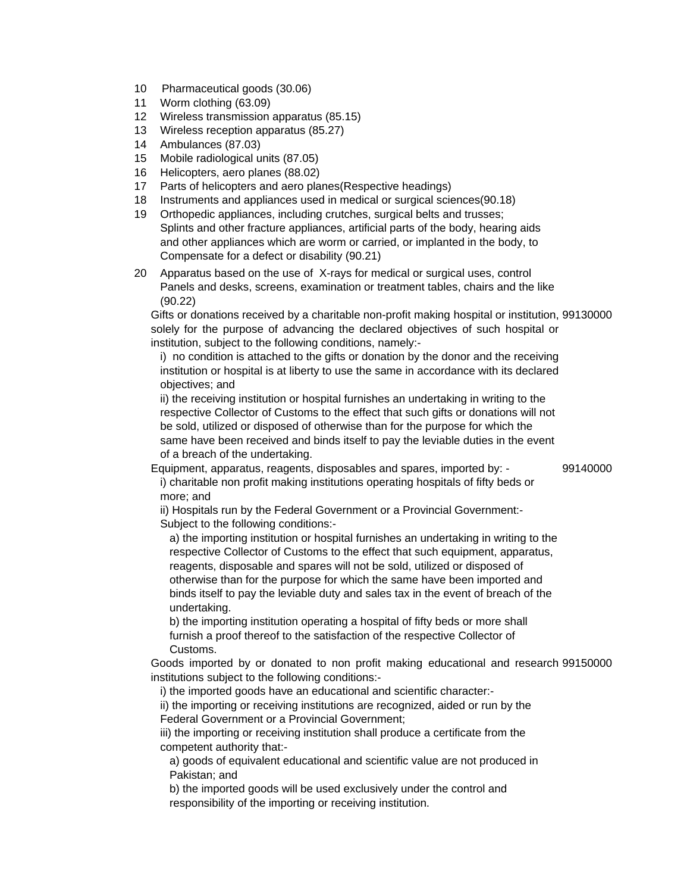- 10 Pharmaceutical goods (30.06)
- 11 Worm clothing (63.09)
- 12 Wireless transmission apparatus (85.15)
- 13 Wireless reception apparatus (85.27)
- 14 Ambulances (87.03)
- 15 Mobile radiological units (87.05)
- 16 Helicopters, aero planes (88.02)
- 17 Parts of helicopters and aero planes(Respective headings)
- 18 Instruments and appliances used in medical or surgical sciences(90.18)
- 19 Orthopedic appliances, including crutches, surgical belts and trusses; Splints and other fracture appliances, artificial parts of the body, hearing aids and other appliances which are worm or carried, or implanted in the body, to Compensate for a defect or disability (90.21)
- 20 Apparatus based on the use of X-rays for medical or surgical uses, control Panels and desks, screens, examination or treatment tables, chairs and the like (90.22)

Gifts or donations received by a charitable non-profit making hospital or institution, 99130000 solely for the purpose of advancing the declared objectives of such hospital or institution, subject to the following conditions, namely:-

i) no condition is attached to the gifts or donation by the donor and the receiving institution or hospital is at liberty to use the same in accordance with its declared objectives; and

ii) the receiving institution or hospital furnishes an undertaking in writing to the respective Collector of Customs to the effect that such gifts or donations will not be sold, utilized or disposed of otherwise than for the purpose for which the same have been received and binds itself to pay the leviable duties in the event of a breach of the undertaking.

Equipment, apparatus, reagents, disposables and spares, imported by: - 99140000 i) charitable non profit making institutions operating hospitals of fifty beds or more; and

ii) Hospitals run by the Federal Government or a Provincial Government:- Subject to the following conditions:-

a) the importing institution or hospital furnishes an undertaking in writing to the respective Collector of Customs to the effect that such equipment, apparatus, reagents, disposable and spares will not be sold, utilized or disposed of otherwise than for the purpose for which the same have been imported and binds itself to pay the leviable duty and sales tax in the event of breach of the undertaking.

b) the importing institution operating a hospital of fifty beds or more shall furnish a proof thereof to the satisfaction of the respective Collector of Customs.

Goods imported by or donated to non profit making educational and research 99150000 institutions subject to the following conditions:-

i) the imported goods have an educational and scientific character:-

ii) the importing or receiving institutions are recognized, aided or run by the Federal Government or a Provincial Government;

iii) the importing or receiving institution shall produce a certificate from the competent authority that:-

a) goods of equivalent educational and scientific value are not produced in Pakistan; and

b) the imported goods will be used exclusively under the control and responsibility of the importing or receiving institution.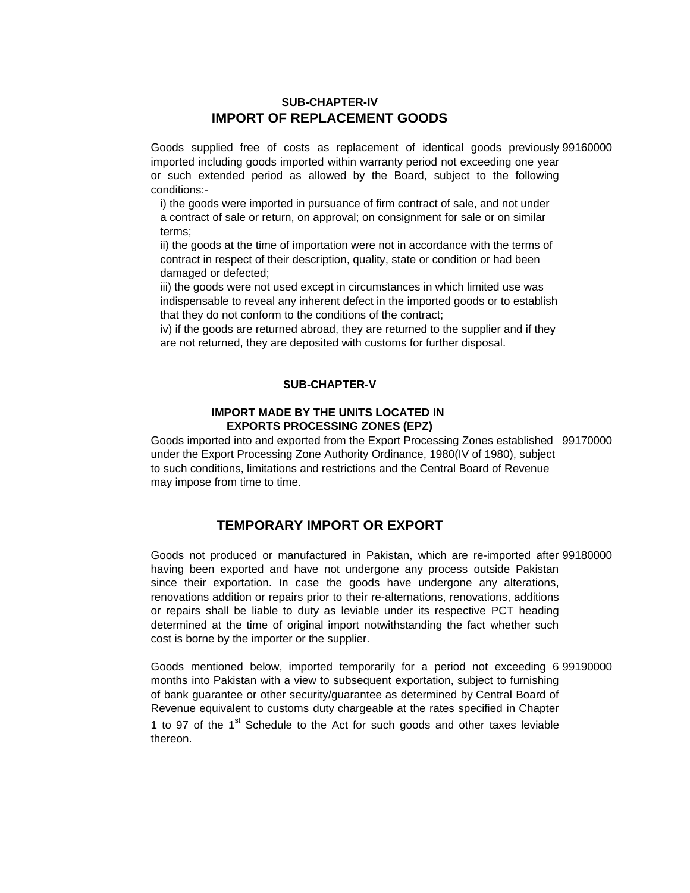### **IMPORT OF REPLACEMENT GOODS SUB-CHAPTER-IV**

Goods supplied free of costs as replacement of identical goods previously 99160000 imported including goods imported within warranty period not exceeding one year or such extended period as allowed by the Board, subject to the following conditions:-

i) the goods were imported in pursuance of firm contract of sale, and not under a contract of sale or return, on approval; on consignment for sale or on similar terms;

ii) the goods at the time of importation were not in accordance with the terms of contract in respect of their description, quality, state or condition or had been damaged or defected;

iii) the goods were not used except in circumstances in which limited use was indispensable to reveal any inherent defect in the imported goods or to establish that they do not conform to the conditions of the contract;

iv) if the goods are returned abroad, they are returned to the supplier and if they are not returned, they are deposited with customs for further disposal.

### **SUB-CHAPTER-V**

#### **EXPORTS PROCESSING ZONES (EPZ) IMPORT MADE BY THE UNITS LOCATED IN**

Goods imported into and exported from the Export Processing Zones established 99170000 under the Export Processing Zone Authority Ordinance, 1980(IV of 1980), subject to such conditions, limitations and restrictions and the Central Board of Revenue may impose from time to time.

### **TEMPORARY IMPORT OR EXPORT**

Goods not produced or manufactured in Pakistan, which are re-imported after 99180000 having been exported and have not undergone any process outside Pakistan since their exportation. In case the goods have undergone any alterations, renovations addition or repairs prior to their re-alternations, renovations, additions or repairs shall be liable to duty as leviable under its respective PCT heading determined at the time of original import notwithstanding the fact whether such cost is borne by the importer or the supplier.

Goods mentioned below, imported temporarily for a period not exceeding 6 99190000 months into Pakistan with a view to subsequent exportation, subject to furnishing of bank guarantee or other security/guarantee as determined by Central Board of Revenue equivalent to customs duty chargeable at the rates specified in Chapter 1 to 97 of the 1<sup>st</sup> Schedule to the Act for such goods and other taxes leviable thereon.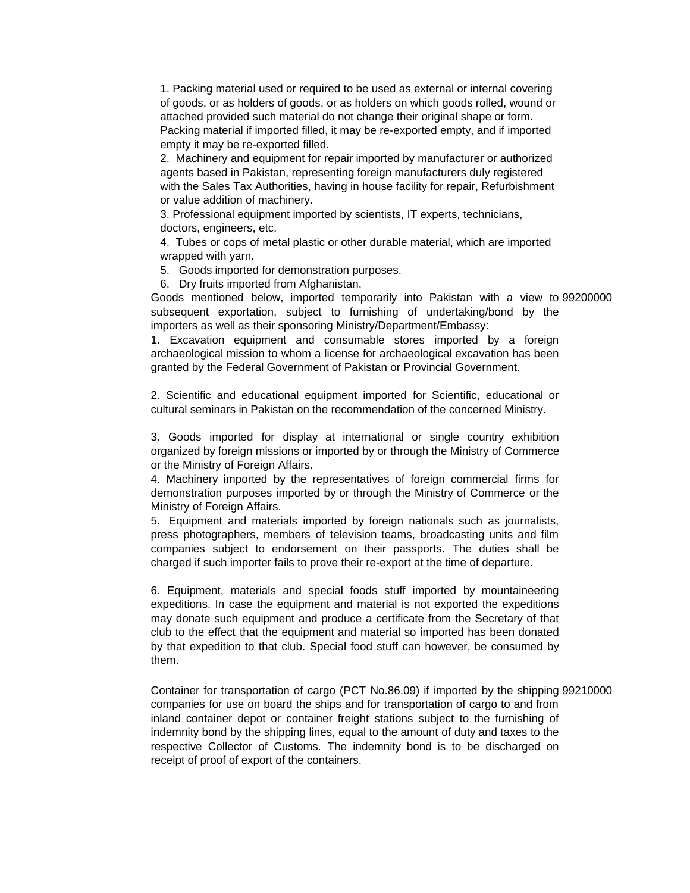1. Packing material used or required to be used as external or internal covering of goods, or as holders of goods, or as holders on which goods rolled, wound or attached provided such material do not change their original shape or form. Packing material if imported filled, it may be re-exported empty, and if imported empty it may be re-exported filled.

2. Machinery and equipment for repair imported by manufacturer or authorized agents based in Pakistan, representing foreign manufacturers duly registered with the Sales Tax Authorities, having in house facility for repair, Refurbishment or value addition of machinery.

3. Professional equipment imported by scientists, IT experts, technicians, doctors, engineers, etc.

4. Tubes or cops of metal plastic or other durable material, which are imported wrapped with yarn.

5. Goods imported for demonstration purposes.

6. Dry fruits imported from Afghanistan.

Goods mentioned below, imported temporarily into Pakistan with a view to 99200000 subsequent exportation, subject to furnishing of undertaking/bond by the importers as well as their sponsoring Ministry/Department/Embassy:

1. Excavation equipment and consumable stores imported by a foreign archaeological mission to whom a license for archaeological excavation has been granted by the Federal Government of Pakistan or Provincial Government.

2. Scientific and educational equipment imported for Scientific, educational or cultural seminars in Pakistan on the recommendation of the concerned Ministry.

3. Goods imported for display at international or single country exhibition organized by foreign missions or imported by or through the Ministry of Commerce or the Ministry of Foreign Affairs.

4. Machinery imported by the representatives of foreign commercial firms for demonstration purposes imported by or through the Ministry of Commerce or the Ministry of Foreign Affairs.

5. Equipment and materials imported by foreign nationals such as journalists, press photographers, members of television teams, broadcasting units and film companies subject to endorsement on their passports. The duties shall be charged if such importer fails to prove their re-export at the time of departure.

6. Equipment, materials and special foods stuff imported by mountaineering expeditions. In case the equipment and material is not exported the expeditions may donate such equipment and produce a certificate from the Secretary of that club to the effect that the equipment and material so imported has been donated by that expedition to that club. Special food stuff can however, be consumed by them.

Container for transportation of cargo (PCT No.86.09) if imported by the shipping 99210000companies for use on board the ships and for transportation of cargo to and from inland container depot or container freight stations subject to the furnishing of indemnity bond by the shipping lines, equal to the amount of duty and taxes to the respective Collector of Customs. The indemnity bond is to be discharged on receipt of proof of export of the containers.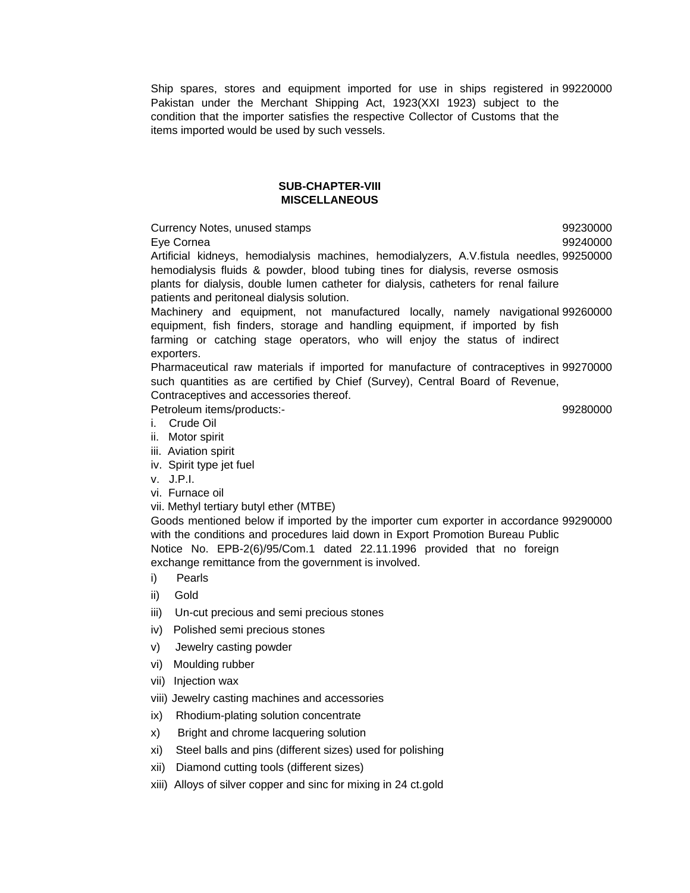Ship spares, stores and equipment imported for use in ships registered in 99220000 Pakistan under the Merchant Shipping Act, 1923(XXI 1923) subject to the condition that the importer satisfies the respective Collector of Customs that the items imported would be used by such vessels.

#### **SUB-CHAPTER-VIII MISCELLANEOUS**

Currency Notes, unused stamps **600 and 100 and 100 and 100 and 100 and 100 and 100 and 100 and 100 and 100 and 100 and 100 and 100 and 100 and 100 and 100 and 100 and 100 and 100 and 100 and 100 and 100 and 100 and 100 and** Eye Cornea 99240000 Artificial kidneys, hemodialysis machines, hemodialyzers, A.V.fistula needles, 99250000 hemodialysis fluids & powder, blood tubing tines for dialysis, reverse osmosis plants for dialysis, double lumen catheter for dialysis, catheters for renal failure patients and peritoneal dialysis solution.

Machinery and equipment, not manufactured locally, namely navigational 99260000 equipment, fish finders, storage and handling equipment, if imported by fish farming or catching stage operators, who will enjoy the status of indirect exporters.

Pharmaceutical raw materials if imported for manufacture of contraceptives in 99270000 such quantities as are certified by Chief (Survey), Central Board of Revenue, Contraceptives and accessories thereof.

Petroleum items/products:- 99280000

- i. Crude Oil
- ii. Motor spirit
- iii. Aviation spirit
- iv. Spirit type jet fuel
- v. J.P.I.
- vi. Furnace oil
- vii. Methyl tertiary butyl ether (MTBE)

Goods mentioned below if imported by the importer cum exporter in accordance 99290000 with the conditions and procedures laid down in Export Promotion Bureau Public Notice No. EPB-2(6)/95/Com.1 dated 22.11.1996 provided that no foreign exchange remittance from the government is involved.

- i) Pearls
- ii) Gold
- iii) Un-cut precious and semi precious stones
- iv) Polished semi precious stones
- v) Jewelry casting powder
- vi) Moulding rubber
- vii) Injection wax
- viii) Jewelry casting machines and accessories
- ix) Rhodium-plating solution concentrate
- x) Bright and chrome lacquering solution
- xi) Steel balls and pins (different sizes) used for polishing
- xii) Diamond cutting tools (different sizes)
- xiii) Alloys of silver copper and sinc for mixing in 24 ct.gold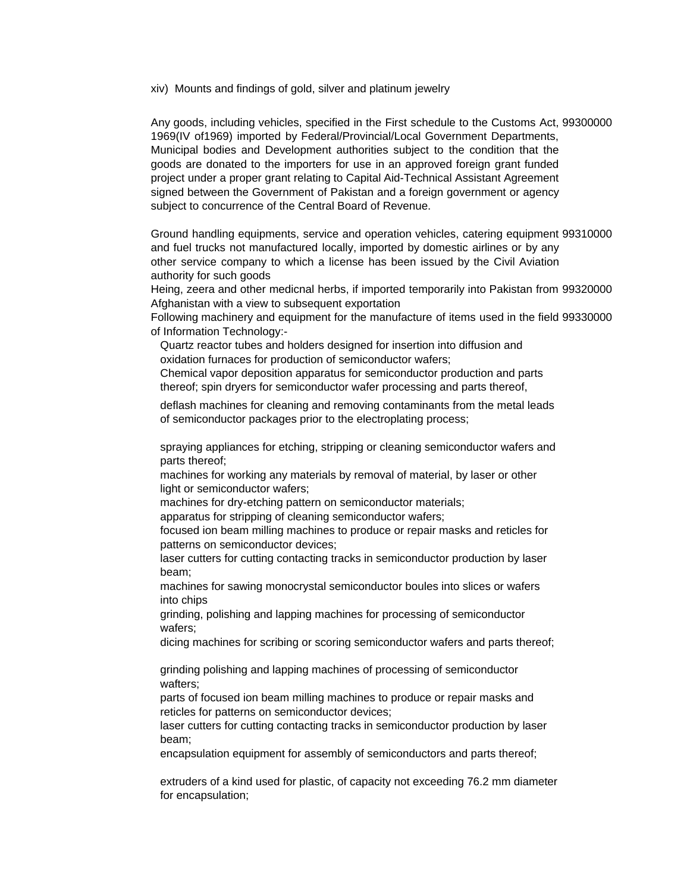xiv) Mounts and findings of gold, silver and platinum jewelry

Any goods, including vehicles, specified in the First schedule to the Customs Act, 99300000 1969(IV of1969) imported by Federal/Provincial/Local Government Departments, Municipal bodies and Development authorities subject to the condition that the goods are donated to the importers for use in an approved foreign grant funded project under a proper grant relating to Capital Aid-Technical Assistant Agreement signed between the Government of Pakistan and a foreign government or agency subject to concurrence of the Central Board of Revenue.

Ground handling equipments, service and operation vehicles, catering equipment 99310000 and fuel trucks not manufactured locally, imported by domestic airlines or by any other service company to which a license has been issued by the Civil Aviation authority for such goods

Heing, zeera and other medicnal herbs, if imported temporarily into Pakistan from 99320000 Afghanistan with a view to subsequent exportation

Following machinery and equipment for the manufacture of items used in the field 99330000 of Information Technology:-

Quartz reactor tubes and holders designed for insertion into diffusion and oxidation furnaces for production of semiconductor wafers;

Chemical vapor deposition apparatus for semiconductor production and parts thereof; spin dryers for semiconductor wafer processing and parts thereof,

deflash machines for cleaning and removing contaminants from the metal leads of semiconductor packages prior to the electroplating process;

spraying appliances for etching, stripping or cleaning semiconductor wafers and parts thereof;

machines for working any materials by removal of material, by laser or other light or semiconductor wafers;

machines for dry-etching pattern on semiconductor materials;

apparatus for stripping of cleaning semiconductor wafers;

focused ion beam milling machines to produce or repair masks and reticles for patterns on semiconductor devices;

laser cutters for cutting contacting tracks in semiconductor production by laser beam;

machines for sawing monocrystal semiconductor boules into slices or wafers into chips

grinding, polishing and lapping machines for processing of semiconductor wafers;

dicing machines for scribing or scoring semiconductor wafers and parts thereof;

grinding polishing and lapping machines of processing of semiconductor wafters;

parts of focused ion beam milling machines to produce or repair masks and reticles for patterns on semiconductor devices;

laser cutters for cutting contacting tracks in semiconductor production by laser beam;

encapsulation equipment for assembly of semiconductors and parts thereof;

extruders of a kind used for plastic, of capacity not exceeding 76.2 mm diameter for encapsulation;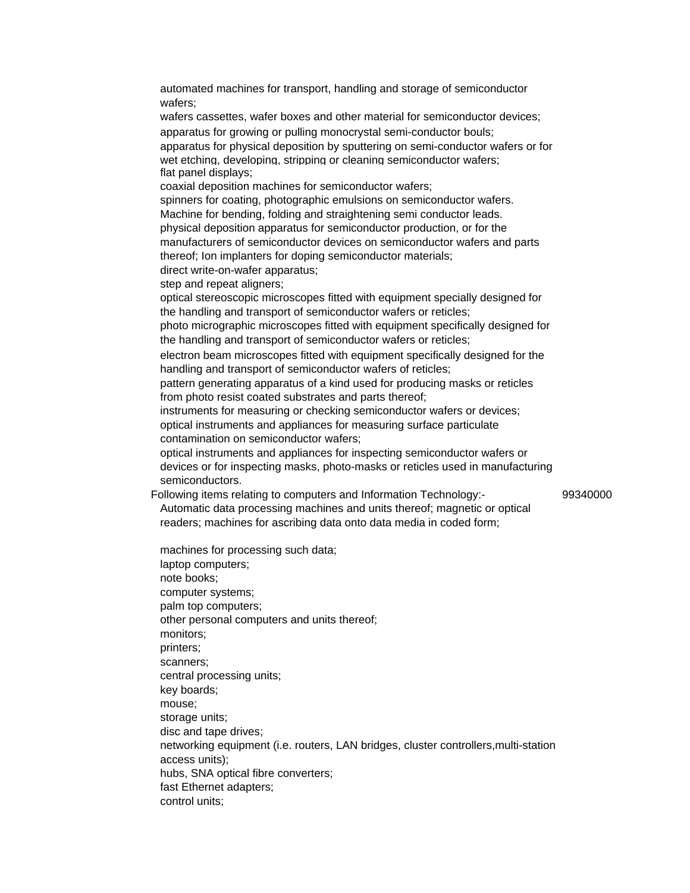automated machines for transport, handling and storage of semiconductor wafers;

wafers cassettes, wafer boxes and other material for semiconductor devices; apparatus for growing or pulling monocrystal semi-conductor bouls; apparatus for physical deposition by sputtering on semi-conductor wafers or for wet etching, developing, stripping or cleaning semiconductor wafers; flat panel displays;

coaxial deposition machines for semiconductor wafers;

spinners for coating, photographic emulsions on semiconductor wafers. Machine for bending, folding and straightening semi conductor leads. physical deposition apparatus for semiconductor production, or for the

manufacturers of semiconductor devices on semiconductor wafers and parts thereof; Ion implanters for doping semiconductor materials;

direct write-on-wafer apparatus;

step and repeat aligners;

optical stereoscopic microscopes fitted with equipment specially designed for the handling and transport of semiconductor wafers or reticles;

photo micrographic microscopes fitted with equipment specifically designed for the handling and transport of semiconductor wafers or reticles;

electron beam microscopes fitted with equipment specifically designed for the handling and transport of semiconductor wafers of reticles;

pattern generating apparatus of a kind used for producing masks or reticles from photo resist coated substrates and parts thereof;

instruments for measuring or checking semiconductor wafers or devices; optical instruments and appliances for measuring surface particulate contamination on semiconductor wafers;

optical instruments and appliances for inspecting semiconductor wafers or devices or for inspecting masks, photo-masks or reticles used in manufacturing semiconductors.

Following items relating to computers and Information Technology:- 99340000

Automatic data processing machines and units thereof; magnetic or optical readers; machines for ascribing data onto data media in coded form;

machines for processing such data; laptop computers; note books; computer systems; palm top computers; other personal computers and units thereof; monitors; printers; scanners; central processing units; key boards; mouse; storage units; disc and tape drives; networking equipment (i.e. routers, LAN bridges, cluster controllers,multi-station access units); hubs, SNA optical fibre converters; fast Ethernet adapters;

control units;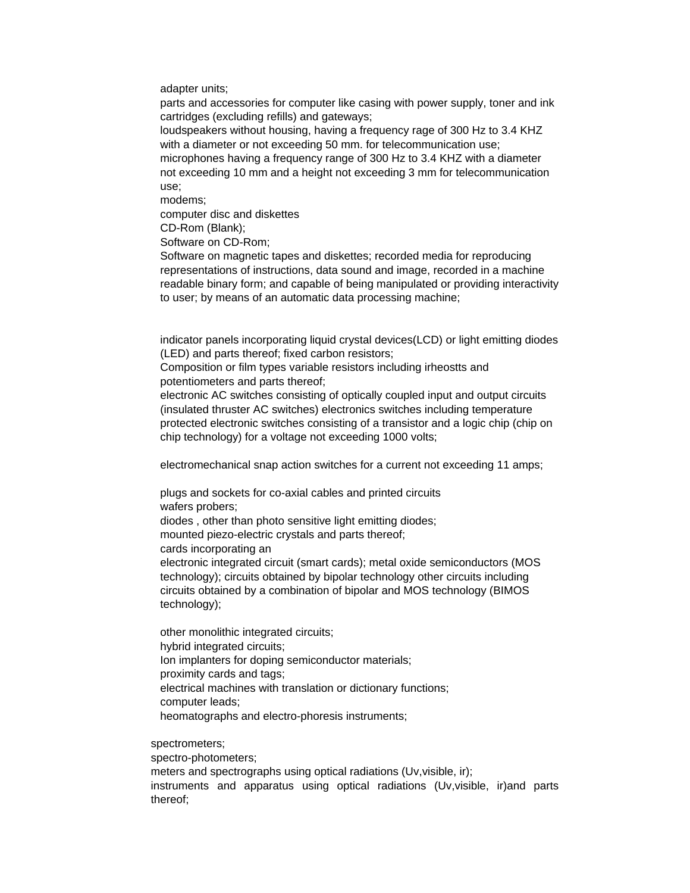adapter units;

parts and accessories for computer like casing with power supply, toner and ink cartridges (excluding refills) and gateways;

loudspeakers without housing, having a frequency rage of 300 Hz to 3.4 KHZ with a diameter or not exceeding 50 mm. for telecommunication use;

microphones having a frequency range of 300 Hz to 3.4 KHZ with a diameter not exceeding 10 mm and a height not exceeding 3 mm for telecommunication use;

modems;

computer disc and diskettes

CD-Rom (Blank);

Software on CD-Rom;

Software on magnetic tapes and diskettes; recorded media for reproducing representations of instructions, data sound and image, recorded in a machine readable binary form; and capable of being manipulated or providing interactivity to user; by means of an automatic data processing machine;

indicator panels incorporating liquid crystal devices(LCD) or light emitting diodes (LED) and parts thereof; fixed carbon resistors;

Composition or film types variable resistors including irheostts and potentiometers and parts thereof;

electronic AC switches consisting of optically coupled input and output circuits (insulated thruster AC switches) electronics switches including temperature protected electronic switches consisting of a transistor and a logic chip (chip on chip technology) for a voltage not exceeding 1000 volts;

electromechanical snap action switches for a current not exceeding 11 amps;

plugs and sockets for co-axial cables and printed circuits wafers probers; diodes , other than photo sensitive light emitting diodes; mounted piezo-electric crystals and parts thereof;

cards incorporating an

electronic integrated circuit (smart cards); metal oxide semiconductors (MOS technology); circuits obtained by bipolar technology other circuits including circuits obtained by a combination of bipolar and MOS technology (BIMOS technology);

other monolithic integrated circuits; hybrid integrated circuits; Ion implanters for doping semiconductor materials; proximity cards and tags; electrical machines with translation or dictionary functions; computer leads; heomatographs and electro-phoresis instruments;

spectrometers;

spectro-photometers;

meters and spectrographs using optical radiations (Uv,visible, ir); instruments and apparatus using optical radiations (Uv,visible, ir)and parts thereof;